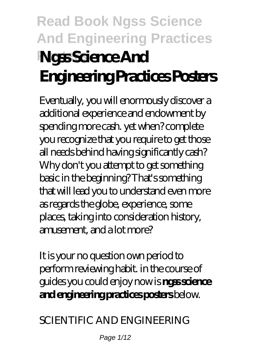# **Read Book Ngss Science And Engineering Practices Posters Ngss Science And Engineering Practices Posters**

Eventually, you will enormously discover a additional experience and endowment by spending more cash. yet when? complete you recognize that you require to get those all needs behind having significantly cash? Why don't you attempt to get something basic in the beginning? That's something that will lead you to understand even more as regards the globe, experience, some places, taking into consideration history, amusement, and a lot more?

It is your no question own period to perform reviewing habit. in the course of guides you could enjoy now is **ngss science and engineering practices posters** below.

*SCIENTIFIC AND ENGINEERING*

Page  $1/12$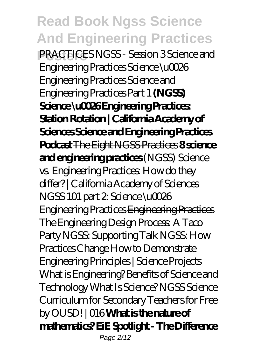**Posters** *PRACTICES NGSS - Session 3 Science and Engineering Practices* Science \u0026 Engineering Practices Science and Engineering Practices Part 1 **(NGSS) Science \u0026 Engineering Practices: Station Rotation | California Academy of Sciences Science and Engineering Practices Podcast** The Eight NGSS Practices **8 science and engineering practices** (NGSS) Science vs. Engineering Practices: How do they differ? | California Academy of Sciences *NGSS 101 part 2: Science \u0026 Engineering Practices* Engineering Practices The Engineering Design Process: A Taco Party *NGSS: Supporting Talk NGSS: How Practices Change* How to Demonstrate Engineering Principles | Science Projects What is Engineering? Benefits of Science and Technology *What Is Science? NGSS Science Curriculum for Secondary Teachers for Free by OUSD! | 016* **What is the nature of mathematics? EiE Spotlight - The Difference** Page 2/12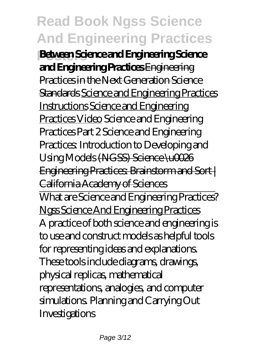**Posters Between Science and Engineering Science and Engineering Practices** Engineering Practices in the Next Generation Science Standards Science and Engineering Practices Instructions Science and Engineering Practices Video *Science and Engineering Practices Part 2 Science and Engineering Practices: Introduction to Developing and Using Models* (NGSS) Science \u0026 Engineering Practices: Brainstorm and Sort | California Academy of Sciences

What are Science and Engineering Practices? Ngss Science And Engineering Practices A practice of both science and engineering is to use and construct models as helpful tools for representing ideas and explanations. These tools include diagrams, drawings, physical replicas, mathematical representations, analogies, and computer simulations. Planning and Carrying Out Investigations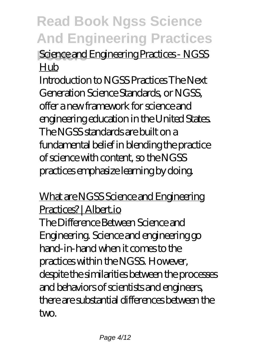**Science and Engineering Practices - NGSS** Hub

Introduction to NGSS Practices The Next Generation Science Standards, or NGSS, offer a new framework for science and engineering education in the United States. The NGSS standards are built on a fundamental belief in blending the practice of science with content, so the NGSS practices emphasize learning by doing.

What are NGSS Science and Engineering Practices? | Albert.io The Difference Between Science and Engineering. Science and engineering go hand-in-hand when it comes to the practices within the NGSS. However, despite the similarities between the processes and behaviors of scientists and engineers, there are substantial differences between the two.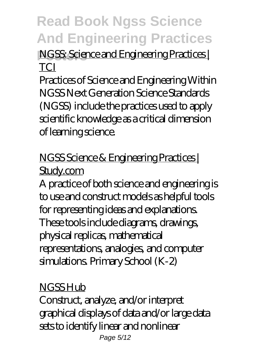### **NGSS: Science and Engineering Practices TCI**

Practices of Science and Engineering Within NGSS Next Generation Science Standards (NGSS) include the practices used to apply scientific knowledge as a critical dimension of learning science.

### NGSS Science & Engineering Practices | Study.com

A practice of both science and engineering is to use and construct models as helpful tools for representing ideas and explanations. These tools include diagrams, drawings, physical replicas, mathematical representations, analogies, and computer simulations. Primary School (K-2)

#### NGSS Hub

Construct, analyze, and/or interpret graphical displays of data and/or large data sets to identify linear and nonlinear Page 5/12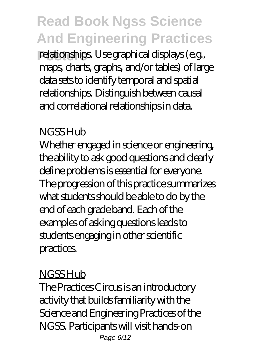relationships. Use graphical displays (e.g., maps, charts, graphs, and/or tables) of large data sets to identify temporal and spatial relationships. Distinguish between causal and correlational relationships in data.

### NGSS Hub

Whether engaged in science or engineering, the ability to ask good questions and clearly define problems is essential for everyone. The progression of this practice summarizes what students should be able to do by the end of each grade band. Each of the examples of asking questions leads to students engaging in other scientific practices.

### **NGSSHub**

The Practices Circus is an introductory activity that builds familiarity with the Science and Engineering Practices of the NGSS. Participants will visit hands-on Page 6/12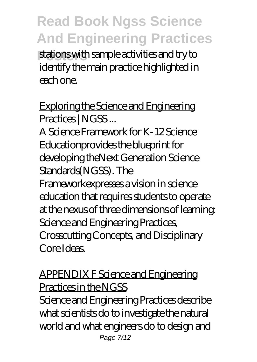stations with sample activities and try to identify the main practice highlighted in each one.

Exploring the Science and Engineering Practices | NGSS...

A Science Framework for K-12 Science Educationprovides the blueprint for developing theNext Generation Science Standards(NGSS). The Frameworkexpresses a vision in science education that requires students to operate at the nexus of three dimensions of learning: Science and Engineering Practices, Crosscutting Concepts, and Disciplinary Core Ideas.

APPENDIX F Science and Engineering Practices in the NGSS

Science and Engineering Practices describe what scientists do to investigate the natural world and what engineers do to design and Page 7/12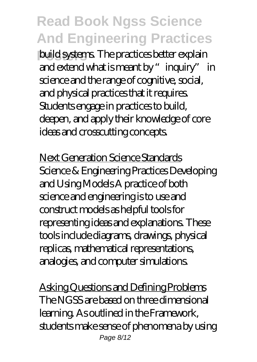**Posters** build systems. The practices better explain and extend what is meant by "inquiry" in science and the range of cognitive, social, and physical practices that it requires. Students engage in practices to build, deepen, and apply their knowledge of core ideas and crosscutting concepts.

Next Generation Science Standards Science & Engineering Practices Developing and Using Models A practice of both science and engineering is to use and construct models as helpful tools for representing ideas and explanations. These tools include diagrams, drawings, physical replicas, mathematical representations, analogies, and computer simulations.

Asking Questions and Defining Problems The NGSS are based on three dimensional learning. As outlined in the Framework, students make sense of phenomena by using Page 8/12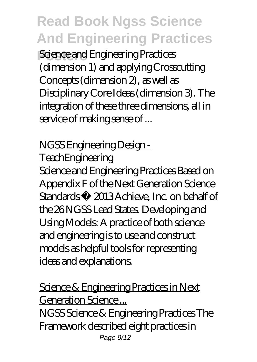**Science and Engineering Practices** (dimension 1) and applying Crosscutting Concepts (dimension 2), as well as Disciplinary Core Ideas (dimension 3). The integration of these three dimensions, all in service of making sense of ...

NGSS Engineering Design -

**TeachEngineering** 

Science and Engineering Practices Based on Appendix F of the Next Generation Science Standards © 2013 Achieve, Inc. on behalf of the 26 NGSS Lead States. Developing and Using Models: A practice of both science and engineering is to use and construct models as helpful tools for representing ideas and explanations.

Science & Engineering Practices in Next Generation Science ... NGSS Science & Engineering Practices The Framework described eight practices in Page  $9/12$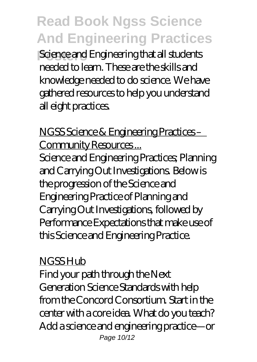**Posters** Science and Engineering that all students needed to learn. These are the skills and knowledge needed to do science. We have gathered resources to help you understand all eight practices.

NGSS Science & Engineering Practices – Community Resources...

Science and Engineering Practices; Planning and Carrying Out Investigations. Below is the progression of the Science and Engineering Practice of Planning and Carrying Out Investigations, followed by Performance Expectations that make use of this Science and Engineering Practice.

#### **NGSSHub**

Find your path through the Next Generation Science Standards with help from the Concord Consortium. Start in the center with a core idea. What do you teach? Add a science and engineering practice—or Page 10/12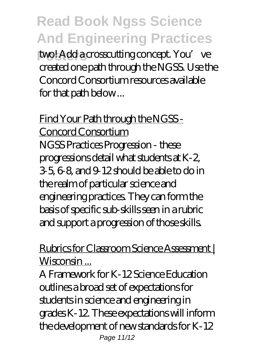two! Add a crosscutting concept. You've created one path through the NGSS. Use the Concord Consortium resources available for that path below ...

Find Your Path through the NGSS - Concord Consortium NGSS Practices Progression - these progressions detail what students at K-2, 3-5, 6-8, and 9-12 should be able to do in the realm of particular science and engineering practices. They can form the basis of specific sub-skills seen in a rubric and support a progression of those skills.

#### Rubrics for Classroom Science Assessment | Wisconsin ...

A Framework for K-12 Science Education outlines a broad set of expectations for students in science and engineering in grades K-12. These expectations will inform the development of new standards for K-12 Page 11/12